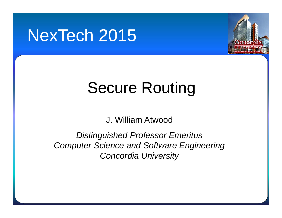## NexTech 2015



# Secure Routing

J. William Atwood

*Distinguished Professor Emeritus Computer Science and Software Engineering Concordia University*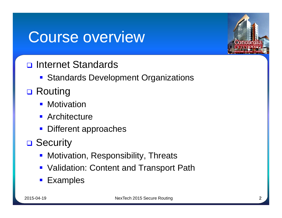### Course overview



- nternet Standards
	- **Standards Development Organizations**
- **□ Routing** 
	- **Motivation**
	- **Architecture**
	- **Different approaches**
- **□ Security** 
	- **Motivation, Responsibility, Threats**
	- **Validation: Content and Transport Path**
	- **Examples**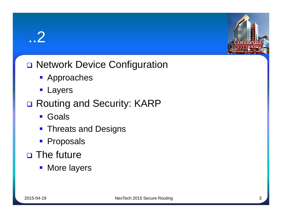### ..2



#### O Network Device Configuration

- **Approaches**
- **Layers**

#### □ Routing and Security: KARP

- **Goals**
- **Threats and Designs**
- **Proposals**
- $\Box$  The future
	- **Nore layers**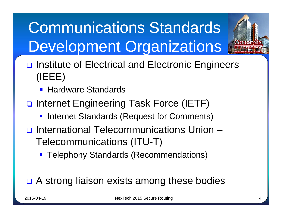# **Communications Standards** Development Organizations



- **Hardware Standards**
- **□** Internet Engineering Task Force (IETF)
	- **Internet Standards (Request for Comments)**
- International Telecommunications Union Telecommunications (ITU-T)
	- **Telephony Standards (Recommendations)**

#### **□** A strong liaison exists among these bodies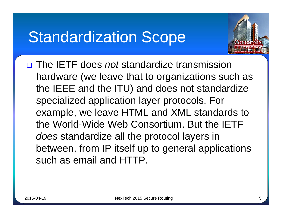### **Standardization Scope**



 The IETF does *not* standardize transmission hardware (we leave that to organizations such as the IEEE and the ITU) and does not standardize specialized application layer protocols. For example, we leave HTML and XML standards to the World-Wide Web Consortium. But the IETF *does* standardize all the protocol layers in between, from IP itself up to general applications such as email and HTTP.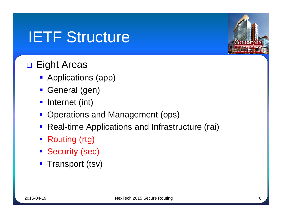## **IETF Structure**

#### **D** Eight Areas

- **Applications (app)**
- General (gen)
- **Internet (int)**
- Operations and Management (ops)
- Real-time Applications and Infrastructure (rai)
- Routing (rtg)
- **Security (sec)**
- **Transport (tsv)**

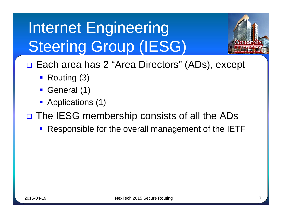# Internet Engineering **Steering Group (IESG)**



□ Each area has 2 "Area Directors" (ADs), except

- Routing (3)
- General (1)
- Applications (1)
- □ The IESG membership consists of all the ADs
	- Responsible for the overall management of the IETF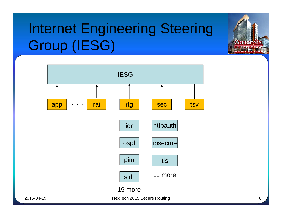## Internet Engineering Steering Group (IESG)



Concor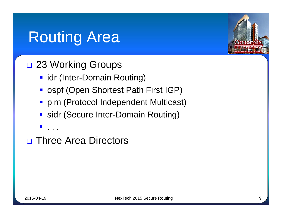## **Routing Area**

#### □ 23 Working Groups

- **I** idr (Inter-Domain Routing)
- ospf (Open Shortest Path First IGP)
- **Pim (Protocol Independent Multicast)**
- sidr (Secure Inter-Domain Routing)
- . . .

**D** Three Area Directors

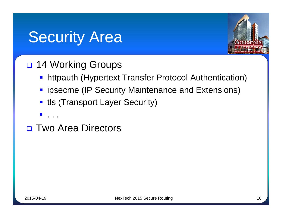## **Security Area**



#### **D** 14 Working Groups

- **httpauth (Hypertext Transfer Protocol Authentication)**
- $\blacksquare$  ipsecme (IP Security Maintenance and Extensions)
- **tille (Transport Layer Security)**
- . . .
- **D** Two Area Directors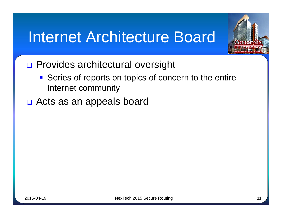## **Internet Architecture Board**



- **D** Provides architectural oversight
	- Series of reports on topics of concern to the entire Internet community
- □ Acts as an appeals board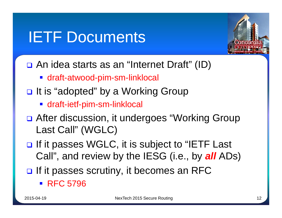## **IETF Documents**



- □ An idea starts as an "Internet Draft" (ID)
	- draft-atwood-pim-sm-linklocal
- $\Box$  It is "adopted" by a Working Group
	- **draft-ietf-pim-sm-linklocal**
- □ After discussion, it undergoes "Working Group Last Call" (WGLC)
- □ If it passes WGLC, it is subject to "IETF Last Call", and review by the IESG (i.e., by *all* ADs)
- $\Box$  If it passes scrutiny, it becomes an RFC
	- **RFC 5796**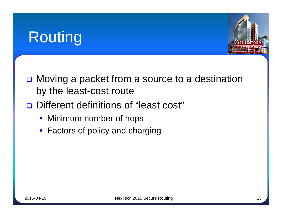## Routing



- **□** Moving a packet from a source to a destination by the least-cost route
- Different definitions of "least cost"
	- **Minimum number of hops**
	- **Factors of policy and charging**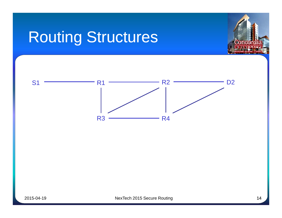# Routing Structures



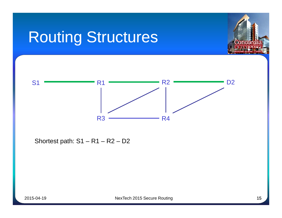## Routing Structures





Shortest path:  $S1 - R1 - R2 - D2$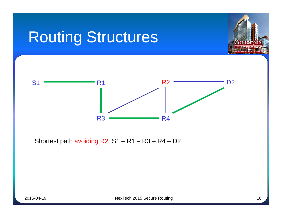## Routing Structures





Shortest path avoiding  $R2: S1 - R1 - R3 - R4 - D2$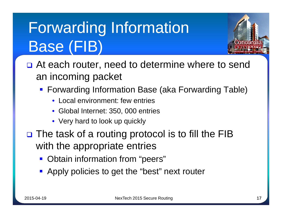# Forwarding Information Base (FIB)



- **□** At each router, need to determine where to send an incoming packet
	- Forwarding Information Base (aka Forwarding Table)
		- Local environment: few entries
		- Global Internet: 350, 000 entries
		- Very hard to look up quickly
- □ The task of a routing protocol is to fill the FIB with the appropriate entries
	- **Obtain information from "peers"**
	- **Apply policies to get the "best" next router**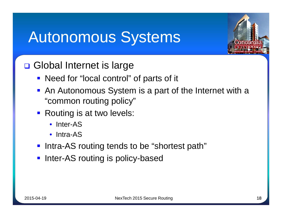## **Autonomous Systems**



**□ Global Internet is large** 

- Need for "local control" of parts of it
- **An Autonomous System is a part of the Internet with a** "common routing policy"
- **Routing is at two levels:** 
	- Inter-AS
	- Intra-AS
- **Intra-AS routing tends to be "shortest path"**
- **Inter-AS routing is policy-based**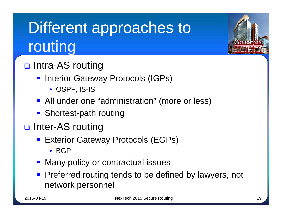# Different approaches to routing

- □ Intra-AS routing
	- **Interior Gateway Protocols (IGPs)** 
		- OSPF, IS-IS
	- **All under one "administration" (more or less)**
	- Shortest-path routing
- **□** Inter-AS routing
	- **Exterior Gateway Protocols (EGPs)** 
		- BGP
	- **Many policy or contractual issues**
	- **Preferred routing tends to be defined by lawyers, not** network personnel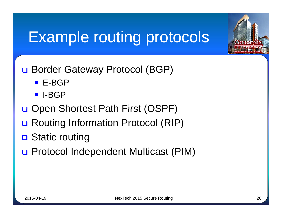## Example routing protocols

- □ Border Gateway Protocol (BGP)
	- E-BGP
	- I-BGP
- □ Open Shortest Path First (OSPF)
- **□ Routing Information Protocol (RIP)**
- **□** Static routing
- □ Protocol Independent Multicast (PIM)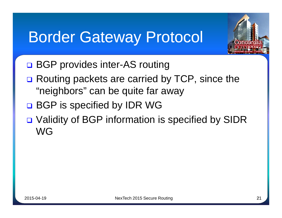### **Border Gateway Protocol**



- **□ BGP provides inter-AS routing**
- **□** Routing packets are carried by TCP, since the "neighbors" can be quite far away
- □ BGP is specified by IDR WG
- □ Validity of BGP information is specified by SIDR WG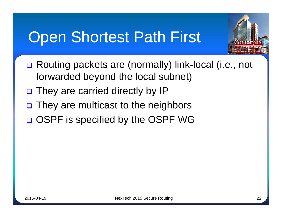## **Open Shortest Path First**



- □ Routing packets are (normally) link-local (i.e., not forwarded beyond the local subnet)
- □ They are carried directly by IP
- $\Box$  They are multicast to the neighbors
- □ OSPF is specified by the OSPF WG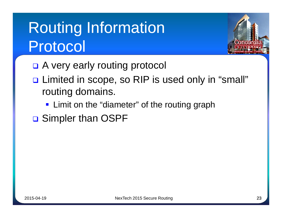# **Routing Information** Protocol



- □ A very early routing protocol
- □ Limited in scope, so RIP is used only in "small" routing domains.
	- **Example 21 Fig. 2** Limit on the "diameter" of the routing graph
- **□ Simpler than OSPF**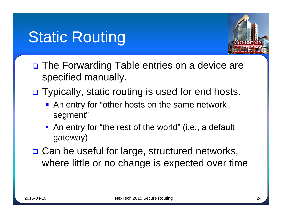## **Static Routing**



- **□** The Forwarding Table entries on a device are specified manually.
- □ Typically, static routing is used for end hosts.
	- An entry for "other hosts on the same network segment"
	- An entry for "the rest of the world" (i.e., a default gateway)
- □ Can be useful for large, structured networks, where little or no change is expected over time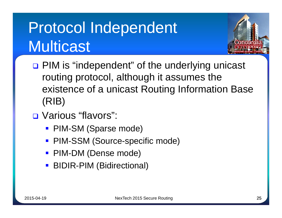# Protocol Independent Multicast



- □ PIM is "independent" of the underlying unicast routing protocol, although it assumes the existence of a unicast Routing Information Base (RIB)
- □ Various "flavors":
	- PIM-SM (Sparse mode)
	- PIM-SSM (Source-specific mode)
	- **PIM-DM (Dense mode)**
	- **BIDIR-PIM (Bidirectional)**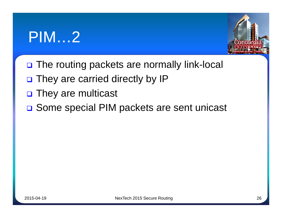## PIM…2



- □ The routing packets are normally link-local
- n They are carried directly by IP
- **D** They are multicast
- □ Some special PIM packets are sent unicast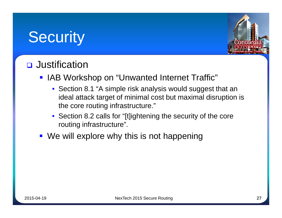## Security



#### **D** Justification

- **IAB Workshop on "Unwanted Internet Traffic"** 
	- Section 8.1 "A simple risk analysis would suggest that an ideal attack target of minimal cost but maximal disruption is the core routing infrastructure."
	- Section 8.2 calls for "[t]ightening the security of the core routing infrastructure".
- We will explore why this is not happening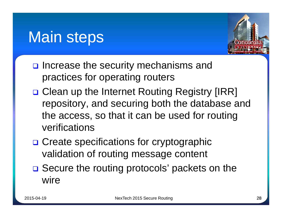### Main steps



- $\Box$  Increase the security mechanisms and practices for operating routers
- **□ Clean up the Internet Routing Registry [IRR]** repository, and securing both the database and the access, so that it can be used for routing verifications
- **□ Create specifications for cryptographic** validation of routing message content
- **□** Secure the routing protocols' packets on the wire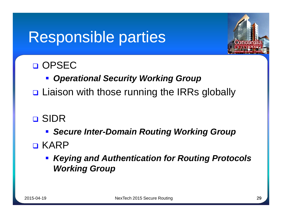## Responsible parties



#### **D** OPSEC

- *Operational Security Working Group*
- **□** Liaison with those running the IRRs globally
- **D** SIDR
	- *Secure Inter-Domain Routing Working Group*
- **D** KARP
	- *Keying and Authentication for Routing Protocols Working Group*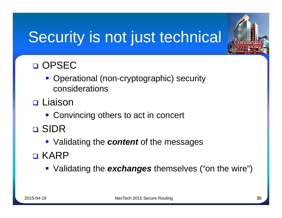# Security is not just technical



- **Operational (non-cryptographic) security** considerations
- **D** Liaison
	- Convincing others to act in concert
- SIDR
	- Validating the *content* of the messages
- **D** KARP
	- Validating the *exchanges* themselves ("on the wire")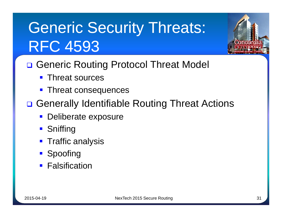# **Generic Security Threats: RFC 4593**

- □ Generic Routing Protocol Threat Model
	- **Threat sources**
	- **Threat consequences**
- □ Generally Identifiable Routing Threat Actions
	- **Deliberate exposure**
	- **Sniffing**
	- **Traffic analysis**
	- **Spoofing**
	- **Falsification**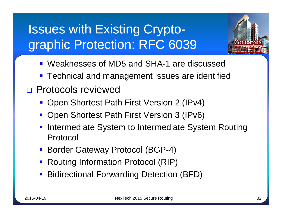#### Issues with Existing Cryptographic Protection: RFC 6039



- Weaknesses of MD5 and SHA-1 are discussed
- **Technical and management issues are identified**
- **D** Protocols reviewed
	- Open Shortest Path First Version 2 (IPv4)
	- **Open Shortest Path First Version 3 (IPv6)**
	- **Intermediate System to Intermediate System Routing** Protocol
	- Border Gateway Protocol (BGP-4)
	- Routing Information Protocol (RIP)
	- Bidirectional Forwarding Detection (BFD)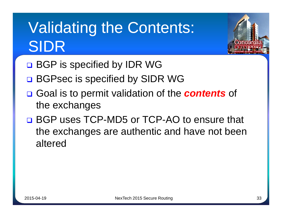# **Validating the Contents:** SIDR



- □ BGP is specified by IDR WG
- □ BGPsec is specified by SIDR WG
- □ Goal is to permit validation of the **contents** of the exchanges
- **Q BGP uses TCP-MD5 or TCP-AO to ensure that** the exchanges are authentic and have not been altered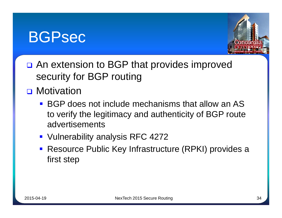#### BGPsec



- □ An extension to BGP that provides improved security for BGP routing
- **D** Motivation
	- BGP does not include mechanisms that allow an AS to verify the legitimacy and authenticity of BGP route advertisements
	- **Vulnerability analysis RFC 4272**
	- **Resource Public Key Infrastructure (RPKI) provides a** first step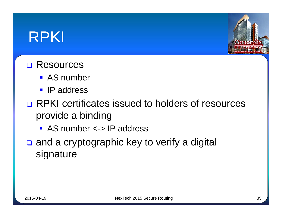### RPKI



#### **□ Resources**

- **AS** number
- **IP** address
- RPKI certificates issued to holders of resources provide a binding
	- AS number <-> IP address
- $\Box$  and a cryptographic key to verify a digital signature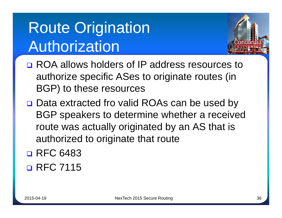# **Route Origination** Authorization



- **□ ROA allows holders of IP address resources to** authorize specific ASes to originate routes (in BGP) to these resources
- □ Data extracted fro valid ROAs can be used by BGP speakers to determine whether a received route was actually originated by an AS that is authorized to originate that route
- **D** RFC 6483 **D** RFC 7115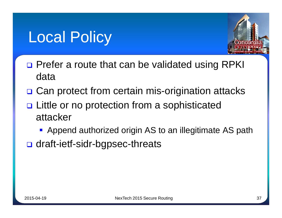### Local Policy



- □ Prefer a route that can be validated using RPKI data
- **□ Can protect from certain mis-origination attacks**
- **□** Little or no protection from a sophisticated attacker
	- **Append authorized origin AS to an illegitimate AS path**
- **□** draft-ietf-sidr-bgpsec-threats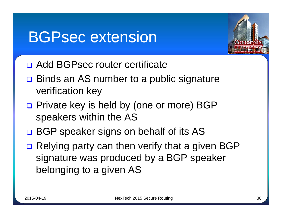### **BGPsec extension**



- Add BGPsec router certificate
- **□** Binds an AS number to a public signature verification key
- □ Private key is held by (one or more) BGP speakers within the AS
- □ BGP speaker signs on behalf of its AS
- **□ Relying party can then verify that a given BGP** signature was produced by a BGP speaker belonging to a given AS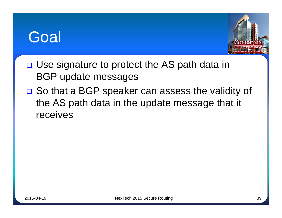### **Goal**



- **□ Use signature to protect the AS path data in** BGP update messages
- **□** So that a BGP speaker can assess the validity of the AS path data in the update message that it receives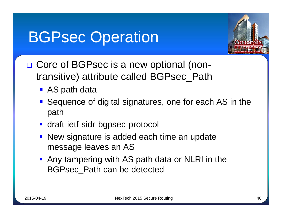## **BGPsec Operation**



- □ Core of BGPsec is a new optional (nontransitive) attribute called BGPsec\_Path
	- AS path data
	- Sequence of digital signatures, one for each AS in the path
	- **draft-ietf-sidr-bgpsec-protocol**
	- New signature is added each time an update message leaves an AS
	- **Any tampering with AS path data or NLRI in the** BGPsec\_Path can be detected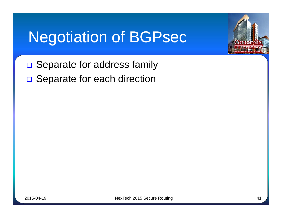## Negotiation of BGPsec



□ Separate for address family □ Separate for each direction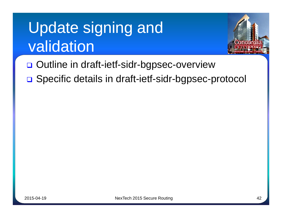# Update signing and validation



- Outline in draft-ietf-sidr-bgpsec-overview
- □ Specific details in draft-ietf-sidr-bgpsec-protocol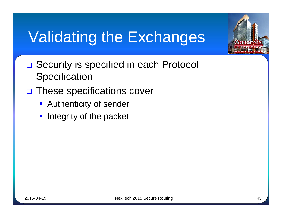## Validating the Exchanges

- □ Security is specified in each Protocol **Specification**
- **D** These specifications cover
	- **Authenticity of sender**
	- $\blacksquare$  Integrity of the packet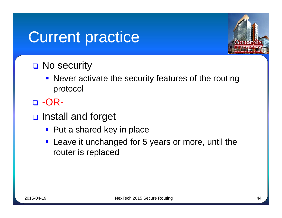### **Current practice**



### **□ No security**

- Never activate the security features of the routing protocol
- $\neg$  -OR-
- **D** Install and forget
	- Put a shared key in place
	- **Leave it unchanged for 5 years or more, until the** router is replaced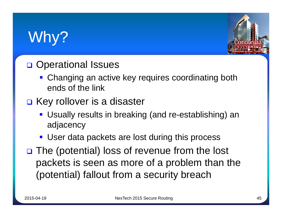## Why?



### **D** Operational Issues

- Changing an active key requires coordinating both ends of the link
- **□ Key rollover is a disaster** 
	- Usually results in breaking (and re-establishing) an adjacency
	- User data packets are lost during this process
- $\Box$  The (potential) loss of revenue from the lost packets is seen as more of a problem than the (potential) fallout from a security breach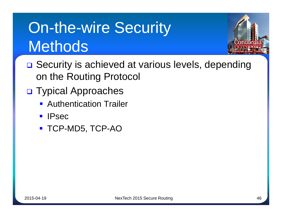# On-the-wire Security **Methods**



- **□** Security is achieved at various levels, depending on the Routing Protocol
- **D** Typical Approaches
	- **Authentication Trailer**
	- **IPsec**
	- **TCP-MD5, TCP-AO**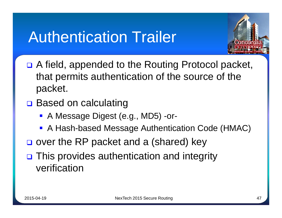### **Authentication Trailer**



- **□** A field, appended to the Routing Protocol packet, that permits authentication of the source of the packet.
- **□** Based on calculating
	- A Message Digest (e.g., MD5) -or-
	- A Hash-based Message Authentication Code (HMAC)
- $\Box$  over the RP packet and a (shared) key
- □ This provides authentication and integrity verification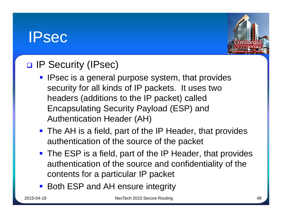### IPsec



### **D IP Security (IPsec)**

- **IPsec is a general purpose system, that provides** security for all kinds of IP packets. It uses two headers (additions to the IP packet) called Encapsulating Security Payload (ESP) and Authentication Header (AH)
- **The AH is a field, part of the IP Header, that provides** authentication of the source of the packet
- The ESP is a field, part of the IP Header, that provides authentication of the source and confidentiality of the contents for a particular IP packet
- Both ESP and AH ensure integrity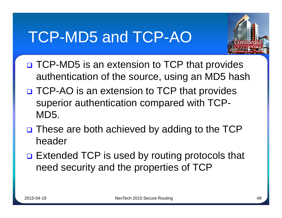## TCP-MD5 and TCP-AO



- □ TCP-MD5 is an extension to TCP that provides authentication of the source, using an MD5 hash
- □ TCP-AO is an extension to TCP that provides superior authentication compared with TCP-MD5.
- $\Box$  These are both achieved by adding to the TCP header
- **□ Extended TCP is used by routing protocols that** need security and the properties of TCP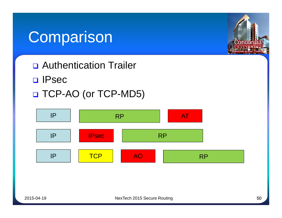### Comparison



- **D** IPsec
- □ TCP-AO (or TCP-MD5)



Conco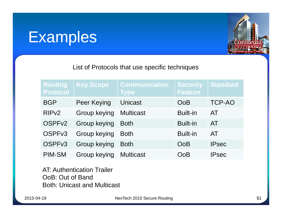### Examples



List of Protocols that use specific techniques

| <b>Routing</b><br><b>Protocol</b> | <b>Key Scope</b>    | <b>Communication</b><br><b>Type</b> | <b>Security</b><br><b>Feature</b> | <b>Standard</b> |
|-----------------------------------|---------------------|-------------------------------------|-----------------------------------|-----------------|
| <b>BGP</b>                        | <b>Peer Keying</b>  | <b>Unicast</b>                      | <b>OoB</b>                        | <b>TCP-AO</b>   |
| RIP <sub>v2</sub>                 | <b>Group keying</b> | <b>Multicast</b>                    | <b>Built-in</b>                   | AT              |
| OSPF <sub>v2</sub>                | Group keying        | <b>Both</b>                         | <b>Built-in</b>                   | AT              |
| OSPF <sub>v3</sub>                | Group keying        | <b>Both</b>                         | <b>Built-in</b>                   | AT              |
| OSPFv3                            | <b>Group keying</b> | <b>Both</b>                         | OoB                               | <b>IPsec</b>    |
| <b>PIM-SM</b>                     | <b>Group keying</b> | <b>Multicast</b>                    | OoB                               | <b>IPsec</b>    |

AT: Authentication Trailer OoB: Out of Band Both: Unicast and Multicast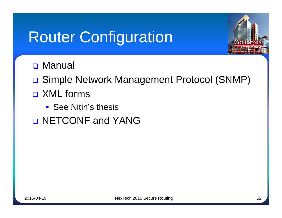## **Router Configuration**



**D** Manual

□ Simple Network Management Protocol (SNMP)

- **D** XML forms
	- **See Nitin's thesis**
- **D NETCONF and YANG**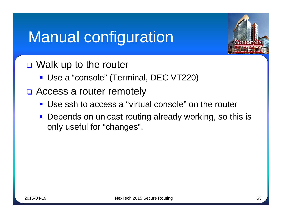## Manual configuration



- **□** Walk up to the router
	- **Use a "console" (Terminal, DEC VT220)**
- □ Access a router remotely
	- Use ssh to access a "virtual console" on the router
	- **Depends on unicast routing already working, so this is** only useful for "changes".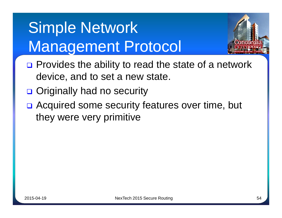# Simple Network Management Protocol



- □ Provides the ability to read the state of a network device, and to set a new state.
- **□** Originally had no security
- **□** Acquired some security features over time, but they were very primitive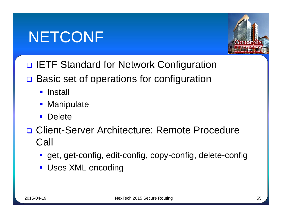## NETCONF



- **D IETF Standard for Network Configuration**
- **□** Basic set of operations for configuration
	- **Install**
	- **Manipulate**
	- **Delete**
- □ Client-Server Architecture: Remote Procedure Call
	- get, get-config, edit-config, copy-config, delete-config
	- **Uses XML encoding**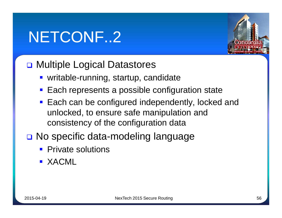## NETCONF..2

### **□ Multiple Logical Datastores**

- writable-running, startup, candidate
- **Each represents a possible configuration state**
- Each can be configured independently, locked and unlocked, to ensure safe manipulation and consistency of the configuration data
- **□ No specific data-modeling language** 
	- **Private solutions**
	- **EXACML**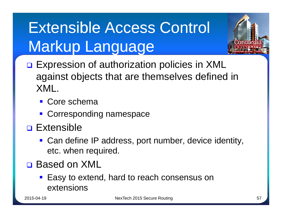# Extensible Access Control Markup Language



- **Expression of authorization policies in XML** against objects that are themselves defined in XML.
	- Core schema
	- **Corresponding namespace**
- **D** Extensible
	- Can define IP address, port number, device identity, etc. when required.
- □ Based on XML
	- Easy to extend, hard to reach consensus on extensions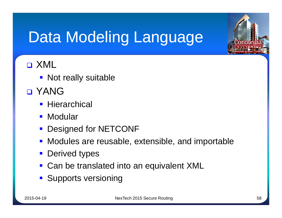# Data Modeling Language

### **D** XML

- Not really suitable
- **D** YANG
	- **Hierarchical**
	- **Modular**
	- **Designed for NETCONF**
	- **Modules are reusable, extensible, and importable**
	- **Derived types**
	- Can be translated into an equivalent XML
	- **Supports versioning**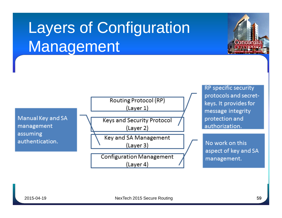# Layers of Configuration Management



**RP** specific security protocols and secretkeys. It provides for message integrity protection and

Concora

No work on this aspect of key and SA management.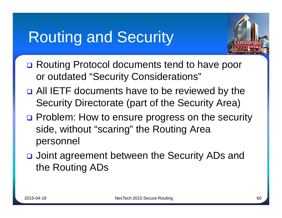## **Routing and Security**



- **□ Routing Protocol documents tend to have poor** or outdated "Security Considerations"
- **□ All IETF documents have to be reviewed by the** Security Directorate (part of the Security Area)
- □ Problem: How to ensure progress on the security side, without "scaring" the Routing Area personnel
- **□** Joint agreement between the Security ADs and the Routing ADs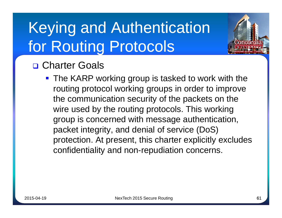# Keying and Authentication for Routing Protocols



**The KARP working group is tasked to work with the** routing protocol working groups in order to improve the communication security of the packets on the wire used by the routing protocols. This working group is concerned with message authentication, packet integrity, and denial of service (DoS) protection. At present, this charter explicitly excludes confidentiality and non-repudiation concerns.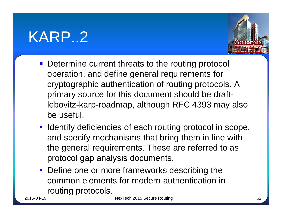### KARP..2



- **Determine current threats to the routing protocol** operation, and define general requirements for cryptographic authentication of routing protocols. A primary source for this document should be draftlebovitz-karp-roadmap, although RFC 4393 may also be useful.
- **I** Identify deficiencies of each routing protocol in scope, and specify mechanisms that bring them in line with the general requirements. These are referred to as protocol gap analysis documents.
- **Define one or more frameworks describing the** common elements for modern authentication in routing protocols.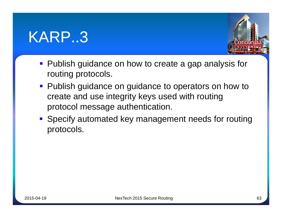### KARP..3



- **Publish guidance on how to create a gap analysis for** routing protocols.
- **Publish guidance on guidance to operators on how to** create and use integrity keys used with routing protocol message authentication.
- Specify automated key management needs for routing protocols.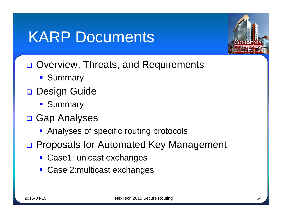## KARP Documents



- **□ Overview, Threats, and Requirements** 
	- **Summary**
- Design Guide
	- **Summary**
- **□ Gap Analyses** 
	- **Analyses of specific routing protocols**
- □ Proposals for Automated Key Management
	- Case1: unicast exchanges
	- Case 2:multicast exchanges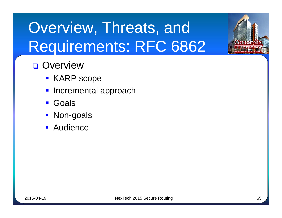# Overview, Threats, and Requirements: RFC 6862

### **D** Overview

- KARP scope
- **Incremental approach**
- **Goals**
- **Non-goals**
- **Audience**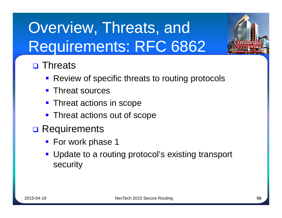# Overview, Threats, and Requirements: RFC 6862



### **D** Threats

- **Review of specific threats to routing protocols**
- Threat sources
- **Threat actions in scope**
- **Threat actions out of scope**
- **D** Requirements
	- **For work phase 1**
	- **Update to a routing protocol's existing transport** security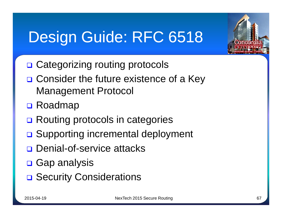## Design Guide: RFC 6518



- □ Consider the future existence of a Key Management Protocol
- □ Roadmap
- **□ Routing protocols in categories**
- **□ Supporting incremental deployment**
- **Denial-of-service attacks**
- **D** Gap analysis
- **□ Security Considerations**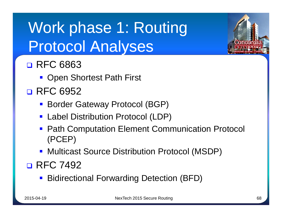# Work phase 1: Routing **Protocol Analyses**



- **Open Shortest Path First**
- **D** RFC 6952
	- **Border Gateway Protocol (BGP)**
	- Label Distribution Protocol (LDP)
	- **Path Computation Element Communication Protocol** (PCEP)
	- **Multicast Source Distribution Protocol (MSDP)**

### **D** RFC 7492

**Bidirectional Forwarding Detection (BFD)**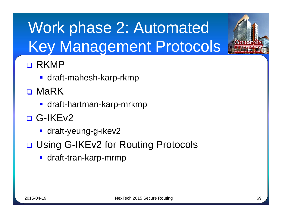# Work phase 2: Automated Key Management Protocols

### **D** RKMP

- draft-mahesh-karp-rkmp
- D MaRK
	- $\blacksquare$  draft-hartman-karp-mrkmp
- □ G-IKEv2
	- **draft-yeung-g-ikev2**
- **□ Using G-IKEv2 for Routing Protocols** 
	- **draft-tran-karp-mrmp**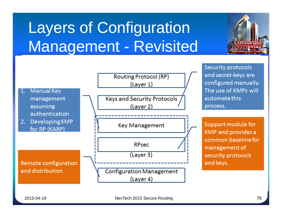# Layers of Configuration Management - Revisited



Concord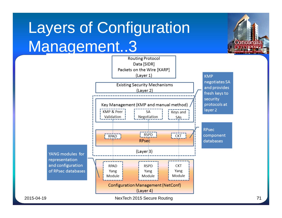# Layers of Configuration Management..3



Concord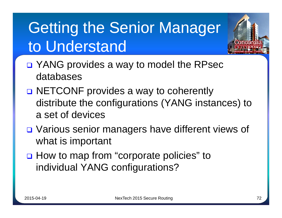# **Getting the Senior Manager** to Understand



- □ NETCONF provides a way to coherently distribute the configurations (YANG instances) to a set of devices
- □ Various senior managers have different views of what is important
- □ How to map from "corporate policies" to individual YANG configurations?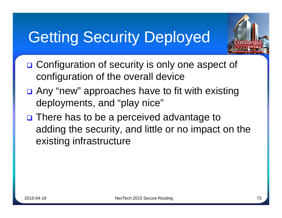## Getting Security Deployed



- **□ Configuration of security is only one aspect of** configuration of the overall device
- **□** Any "new" approaches have to fit with existing deployments, and "play nice"
- **□** There has to be a perceived advantage to adding the security, and little or no impact on the existing infrastructure